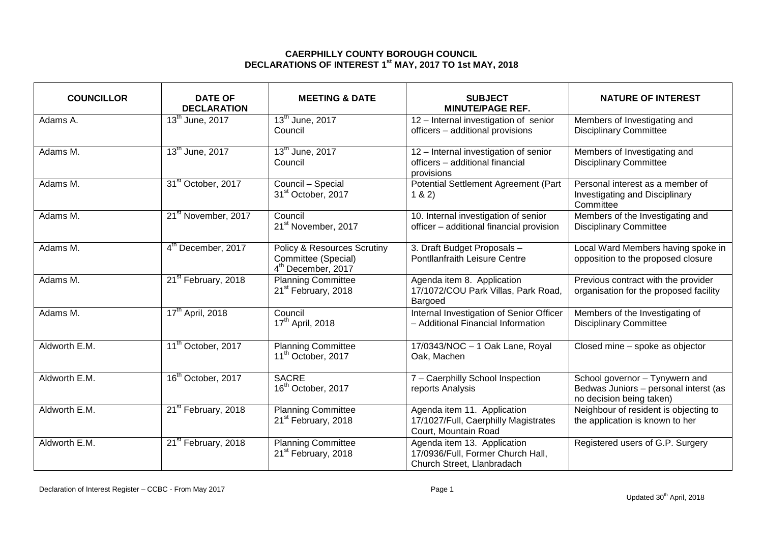## **CAERPHILLY COUNTY BOROUGH COUNCIL DECLARATIONS OF INTEREST 1 st MAY, 2017 TO 1st MAY, 2018**

| <b>COUNCILLOR</b> | <b>DATE OF</b><br><b>DECLARATION</b> | <b>MEETING &amp; DATE</b>                                                                       | <b>SUBJECT</b><br><b>MINUTE/PAGE REF.</b>                                                      | <b>NATURE OF INTEREST</b>                                                                           |
|-------------------|--------------------------------------|-------------------------------------------------------------------------------------------------|------------------------------------------------------------------------------------------------|-----------------------------------------------------------------------------------------------------|
| Adams A.          | 13 <sup>th</sup> June, 2017          | 13 <sup>th</sup> June, 2017<br>Council                                                          | 12 - Internal investigation of senior<br>officers - additional provisions                      | Members of Investigating and<br><b>Disciplinary Committee</b>                                       |
| Adams M.          | 13 <sup>th</sup> June, 2017          | 13 <sup>th</sup> June, 2017<br>Council                                                          | 12 - Internal investigation of senior<br>officers - additional financial<br>provisions         | Members of Investigating and<br><b>Disciplinary Committee</b>                                       |
| Adams M.          | 31 <sup>st</sup> October, 2017       | Council - Special<br>31 <sup>st</sup> October, 2017                                             | Potential Settlement Agreement (Part<br>1 & 2)                                                 | Personal interest as a member of<br><b>Investigating and Disciplinary</b><br>Committee              |
| Adams M.          | 21 <sup>st</sup> November, 2017      | Council<br>21 <sup>st</sup> November, 2017                                                      | 10. Internal investigation of senior<br>officer - additional financial provision               | Members of the Investigating and<br><b>Disciplinary Committee</b>                                   |
| Adams M.          | 4 <sup>th</sup> December, 2017       | <b>Policy &amp; Resources Scrutiny</b><br>Committee (Special)<br>4 <sup>th</sup> December, 2017 | 3. Draft Budget Proposals -<br>Pontllanfraith Leisure Centre                                   | Local Ward Members having spoke in<br>opposition to the proposed closure                            |
| Adams M.          | 21 <sup>st</sup> February, 2018      | <b>Planning Committee</b><br>21 <sup>st</sup> February, 2018                                    | Agenda item 8. Application<br>17/1072/COU Park Villas, Park Road,<br>Bargoed                   | Previous contract with the provider<br>organisation for the proposed facility                       |
| Adams M.          | 17 <sup>th</sup> April, 2018         | Council<br>17 <sup>th</sup> April, 2018                                                         | Internal Investigation of Senior Officer<br>- Additional Financial Information                 | Members of the Investigating of<br><b>Disciplinary Committee</b>                                    |
| Aldworth E.M.     | 11 <sup>th</sup> October, 2017       | <b>Planning Committee</b><br>11 <sup>th</sup> October, 2017                                     | 17/0343/NOC - 1 Oak Lane, Royal<br>Oak, Machen                                                 | Closed mine - spoke as objector                                                                     |
| Aldworth E.M.     | 16 <sup>th</sup> October, 2017       | <b>SACRE</b><br>16 <sup>th</sup> October, 2017                                                  | 7 - Caerphilly School Inspection<br>reports Analysis                                           | School governor - Tynywern and<br>Bedwas Juniors - personal interst (as<br>no decision being taken) |
| Aldworth E.M.     | 21 <sup>st</sup> February, 2018      | <b>Planning Committee</b><br>21 <sup>st</sup> February, 2018                                    | Agenda item 11. Application<br>17/1027/Full, Caerphilly Magistrates<br>Court, Mountain Road    | Neighbour of resident is objecting to<br>the application is known to her                            |
| Aldworth E.M.     | 21 <sup>st</sup> February, 2018      | <b>Planning Committee</b><br>21 <sup>st</sup> February, 2018                                    | Agenda item 13. Application<br>17/0936/Full, Former Church Hall,<br>Church Street, Llanbradach | Registered users of G.P. Surgery                                                                    |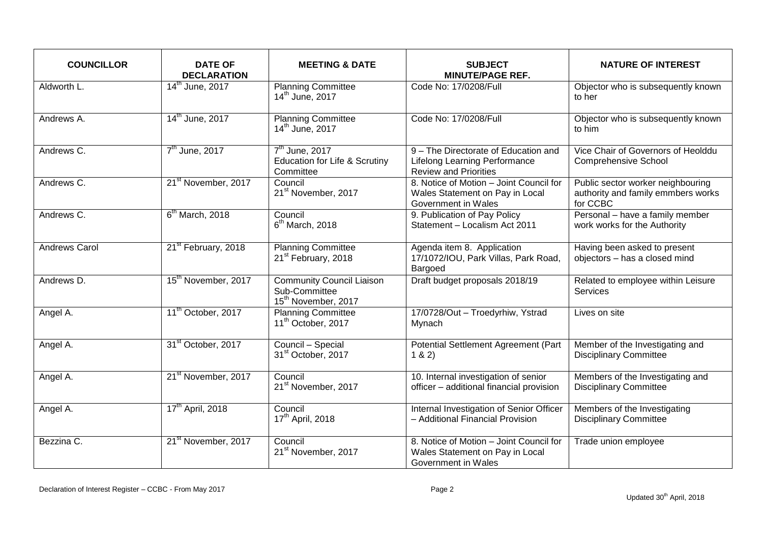| <b>COUNCILLOR</b>    | <b>DATE OF</b><br><b>DECLARATION</b> | <b>MEETING &amp; DATE</b>                                                            | <b>SUBJECT</b><br><b>MINUTE/PAGE REF.</b>                                                                    | <b>NATURE OF INTEREST</b>                                                           |
|----------------------|--------------------------------------|--------------------------------------------------------------------------------------|--------------------------------------------------------------------------------------------------------------|-------------------------------------------------------------------------------------|
| Aldworth L.          | 14 <sup>th</sup> June, 2017          | <b>Planning Committee</b><br>14 <sup>th</sup> June, 2017                             | Code No: 17/0208/Full                                                                                        | Objector who is subsequently known<br>to her                                        |
| Andrews A.           | 14 <sup>th</sup> June, 2017          | <b>Planning Committee</b><br>14 <sup>th</sup> June, 2017                             | Code No: 17/0208/Full                                                                                        | Objector who is subsequently known<br>to him                                        |
| Andrews C.           | $7th$ June, 2017                     | $7th$ June, 2017<br>Education for Life & Scrutiny<br>Committee                       | 9 - The Directorate of Education and<br><b>Lifelong Learning Performance</b><br><b>Review and Priorities</b> | Vice Chair of Governors of Heolddu<br><b>Comprehensive School</b>                   |
| Andrews C.           | 21 <sup>st</sup> November, 2017      | Council<br>21 <sup>st</sup> November, 2017                                           | 8. Notice of Motion - Joint Council for<br>Wales Statement on Pay in Local<br>Government in Wales            | Public sector worker neighbouring<br>authority and family emmbers works<br>for CCBC |
| Andrews C.           | $6th$ March, 2018                    | Council<br>$6th$ March, 2018                                                         | 9. Publication of Pay Policy<br>Statement - Localism Act 2011                                                | Personal - have a family member<br>work works for the Authority                     |
| <b>Andrews Carol</b> | 21 <sup>st</sup> February, 2018      | <b>Planning Committee</b><br>21 <sup>st</sup> February, 2018                         | Agenda item 8. Application<br>17/1072/IOU, Park Villas, Park Road,<br>Bargoed                                | Having been asked to present<br>objectors - has a closed mind                       |
| Andrews D.           | 15 <sup>th</sup> November, 2017      | <b>Community Council Liaison</b><br>Sub-Committee<br>15 <sup>th</sup> November, 2017 | Draft budget proposals 2018/19                                                                               | Related to employee within Leisure<br><b>Services</b>                               |
| Angel A.             | 11 <sup>th</sup> October, 2017       | <b>Planning Committee</b><br>11 <sup>th</sup> October, 2017                          | 17/0728/Out - Troedyrhiw, Ystrad<br>Mynach                                                                   | Lives on site                                                                       |
| Angel A.             | 31 <sup>st</sup> October, 2017       | Council - Special<br>31 <sup>st</sup> October, 2017                                  | Potential Settlement Agreement (Part<br>1 & 2)                                                               | Member of the Investigating and<br><b>Disciplinary Committee</b>                    |
| Angel A.             | 21 <sup>st</sup> November, 2017      | Council<br>21 <sup>st</sup> November, 2017                                           | 10. Internal investigation of senior<br>officer - additional financial provision                             | Members of the Investigating and<br><b>Disciplinary Committee</b>                   |
| Angel A.             | 17 <sup>th</sup> April, 2018         | Council<br>17 <sup>th</sup> April, 2018                                              | Internal Investigation of Senior Officer<br>- Additional Financial Provision                                 | Members of the Investigating<br><b>Disciplinary Committee</b>                       |
| Bezzina C.           | 21 <sup>st</sup> November, 2017      | Council<br>21 <sup>st</sup> November, 2017                                           | 8. Notice of Motion - Joint Council for<br>Wales Statement on Pay in Local<br>Government in Wales            | Trade union employee                                                                |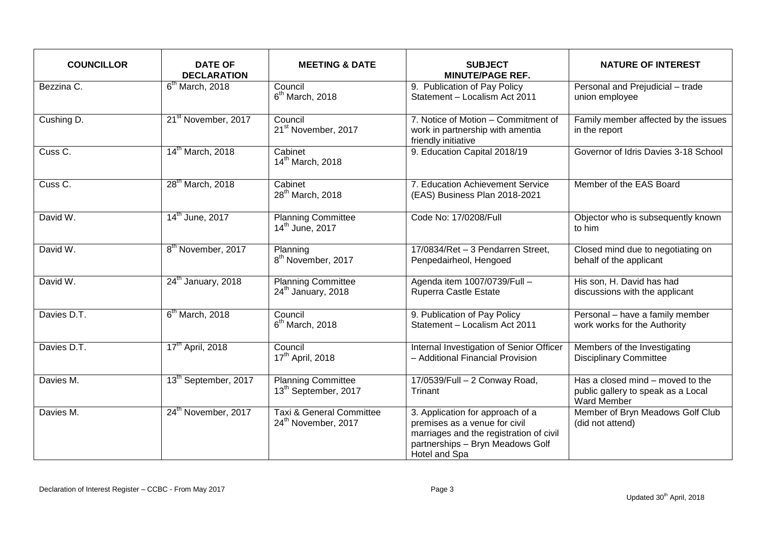| <b>COUNCILLOR</b>     | <b>DATE OF</b><br><b>DECLARATION</b> | <b>MEETING &amp; DATE</b>                                     | <b>SUBJECT</b><br><b>MINUTE/PAGE REF.</b>                                                                                                                         | <b>NATURE OF INTEREST</b>                                                                    |
|-----------------------|--------------------------------------|---------------------------------------------------------------|-------------------------------------------------------------------------------------------------------------------------------------------------------------------|----------------------------------------------------------------------------------------------|
| Bezzina C.            | $6th$ March, 2018                    | Council<br>$6th$ March, 2018                                  | 9. Publication of Pay Policy<br>Statement - Localism Act 2011                                                                                                     | Personal and Prejudicial - trade<br>union employee                                           |
| Cushing D.            | 21 <sup>st</sup> November, 2017      | Council<br>21 <sup>st</sup> November, 2017                    | 7. Notice of Motion - Commitment of<br>work in partnership with amentia<br>friendly initiative                                                                    | Family member affected by the issues<br>in the report                                        |
| Cuss C.               | 14 <sup>th</sup> March, 2018         | Cabinet<br>14 <sup>th</sup> March, 2018                       | 9. Education Capital 2018/19                                                                                                                                      | Governor of Idris Davies 3-18 School                                                         |
| Cuss $\overline{C}$ . | 28 <sup>th</sup> March, 2018         | Cabinet<br>28 <sup>th</sup> March, 2018                       | 7. Education Achievement Service<br>(EAS) Business Plan 2018-2021                                                                                                 | Member of the EAS Board                                                                      |
| David W.              | 14 <sup>th</sup> June, 2017          | <b>Planning Committee</b><br>14 <sup>th</sup> June, 2017      | Code No: 17/0208/Full                                                                                                                                             | Objector who is subsequently known<br>to him                                                 |
| David W.              | 8 <sup>th</sup> November, 2017       | Planning<br>8 <sup>th</sup> November, 2017                    | 17/0834/Ret - 3 Pendarren Street,<br>Penpedairheol, Hengoed                                                                                                       | Closed mind due to negotiating on<br>behalf of the applicant                                 |
| David W.              | 24 <sup>th</sup> January, 2018       | <b>Planning Committee</b><br>24 <sup>th</sup> January, 2018   | Agenda item 1007/0739/Full -<br>Ruperra Castle Estate                                                                                                             | His son, H. David has had<br>discussions with the applicant                                  |
| Davies D.T.           | $6th$ March, 2018                    | Council<br>$6th$ March, 2018                                  | 9. Publication of Pay Policy<br>Statement - Localism Act 2011                                                                                                     | Personal - have a family member<br>work works for the Authority                              |
| Davies D.T.           | 17 <sup>th</sup> April, 2018         | Council<br>17 <sup>th</sup> April, 2018                       | Internal Investigation of Senior Officer<br>- Additional Financial Provision                                                                                      | Members of the Investigating<br><b>Disciplinary Committee</b>                                |
| Davies M.             | 13 <sup>th</sup> September, 2017     | <b>Planning Committee</b><br>13 <sup>th</sup> September, 2017 | 17/0539/Full - 2 Conway Road,<br>Trinant                                                                                                                          | Has a closed mind - moved to the<br>public gallery to speak as a Local<br><b>Ward Member</b> |
| Davies M.             | 24 <sup>th</sup> November, 2017      | Taxi & General Committee<br>24 <sup>th</sup> November, 2017   | 3. Application for approach of a<br>premises as a venue for civil<br>marriages and the registration of civil<br>partnerships - Bryn Meadows Golf<br>Hotel and Spa | Member of Bryn Meadows Golf Club<br>(did not attend)                                         |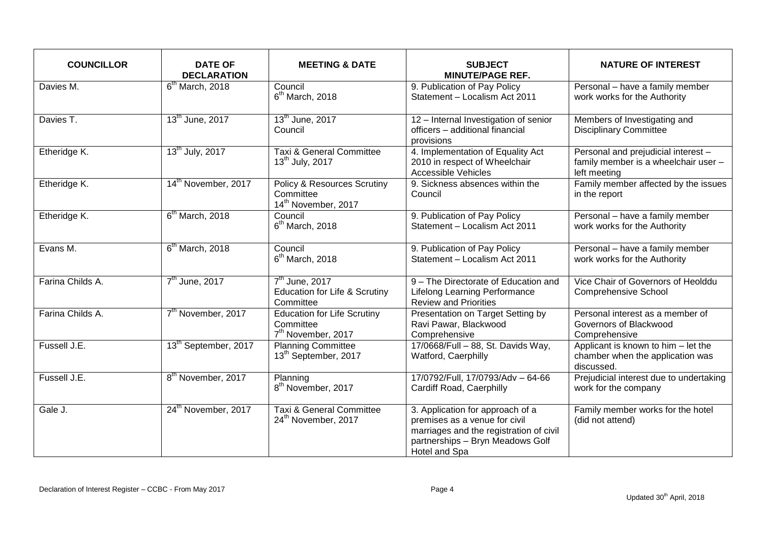| <b>COUNCILLOR</b> | <b>DATE OF</b><br><b>DECLARATION</b> | <b>MEETING &amp; DATE</b>                                                         | <b>SUBJECT</b><br><b>MINUTE/PAGE REF.</b>                                                                                                                         | <b>NATURE OF INTEREST</b>                                                                   |
|-------------------|--------------------------------------|-----------------------------------------------------------------------------------|-------------------------------------------------------------------------------------------------------------------------------------------------------------------|---------------------------------------------------------------------------------------------|
| Davies M.         | $6th$ March, 2018                    | Council<br>$6th$ March, 2018                                                      | 9. Publication of Pay Policy<br>Statement - Localism Act 2011                                                                                                     | Personal - have a family member<br>work works for the Authority                             |
| Davies T.         | 13 <sup>th</sup> June, 2017          | 13 <sup>th</sup> June, 2017<br>Council                                            | 12 - Internal Investigation of senior<br>officers - additional financial<br>provisions                                                                            | Members of Investigating and<br><b>Disciplinary Committee</b>                               |
| Etheridge K.      | 13 <sup>th</sup> July, 2017          | Taxi & General Committee<br>13 <sup>th</sup> July, 2017                           | 4. Implementation of Equality Act<br>2010 in respect of Wheelchair<br><b>Accessible Vehicles</b>                                                                  | Personal and prejudicial interest -<br>family member is a wheelchair user -<br>left meeting |
| Etheridge K.      | 14 <sup>th</sup> November, 2017      | Policy & Resources Scrutiny<br>Committee<br>14 <sup>th</sup> November, 2017       | 9. Sickness absences within the<br>Council                                                                                                                        | Family member affected by the issues<br>in the report                                       |
| Etheridge K.      | $6th$ March, 2018                    | Council<br>$6th$ March, 2018                                                      | 9. Publication of Pay Policy<br>Statement - Localism Act 2011                                                                                                     | Personal - have a family member<br>work works for the Authority                             |
| Evans M.          | $6th$ March, 2018                    | Council<br>$6th$ March, 2018                                                      | 9. Publication of Pay Policy<br>Statement - Localism Act 2011                                                                                                     | Personal - have a family member<br>work works for the Authority                             |
| Farina Childs A.  | 7 <sup>th</sup> June, 2017           | 7 <sup>th</sup> June, 2017<br>Education for Life & Scrutiny<br>Committee          | 9 - The Directorate of Education and<br><b>Lifelong Learning Performance</b><br><b>Review and Priorities</b>                                                      | Vice Chair of Governors of Heolddu<br><b>Comprehensive School</b>                           |
| Farina Childs A.  | 7 <sup>th</sup> November, 2017       | <b>Education for Life Scrutiny</b><br>Committee<br>7 <sup>th</sup> November, 2017 | Presentation on Target Setting by<br>Ravi Pawar, Blackwood<br>Comprehensive                                                                                       | Personal interest as a member of<br>Governors of Blackwood<br>Comprehensive                 |
| Fussell J.E.      | 13 <sup>th</sup> September, 2017     | <b>Planning Committee</b><br>13 <sup>th</sup> September, 2017                     | 17/0668/Full - 88, St. Davids Way,<br>Watford, Caerphilly                                                                                                         | Applicant is known to him - let the<br>chamber when the application was<br>discussed.       |
| Fussell J.E.      | 8 <sup>th</sup> November, 2017       | Planning<br>8 <sup>th</sup> November, 2017                                        | 17/0792/Full, 17/0793/Adv - 64-66<br>Cardiff Road, Caerphilly                                                                                                     | Prejudicial interest due to undertaking<br>work for the company                             |
| Gale J.           | 24 <sup>th</sup> November, 2017      | <b>Taxi &amp; General Committee</b><br>24 <sup>th</sup> November, 2017            | 3. Application for approach of a<br>premises as a venue for civil<br>marriages and the registration of civil<br>partnerships - Bryn Meadows Golf<br>Hotel and Spa | Family member works for the hotel<br>(did not attend)                                       |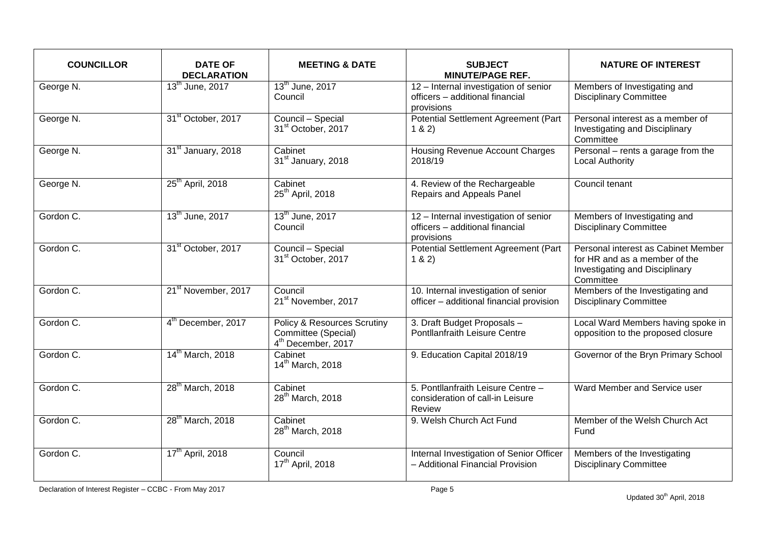| <b>COUNCILLOR</b> | <b>DATE OF</b><br><b>DECLARATION</b> | <b>MEETING &amp; DATE</b>                                                                       | <b>SUBJECT</b><br><b>MINUTE/PAGE REF.</b>                                              | <b>NATURE OF INTEREST</b>                                                                                                  |
|-------------------|--------------------------------------|-------------------------------------------------------------------------------------------------|----------------------------------------------------------------------------------------|----------------------------------------------------------------------------------------------------------------------------|
| George N.         | 13 <sup>th</sup> June, 2017          | 13 <sup>th</sup> June, 2017<br>Council                                                          | 12 - Internal investigation of senior<br>officers - additional financial<br>provisions | Members of Investigating and<br><b>Disciplinary Committee</b>                                                              |
| George N.         | 31 <sup>st</sup> October, 2017       | Council - Special<br>31 <sup>st</sup> October, 2017                                             | Potential Settlement Agreement (Part<br>1 & 2)                                         | Personal interest as a member of<br>Investigating and Disciplinary<br>Committee                                            |
| George N.         | 31 <sup>st</sup> January, 2018       | Cabinet<br>31 <sup>st</sup> January, 2018                                                       | Housing Revenue Account Charges<br>2018/19                                             | Personal – rents a garage from the<br>Local Authority                                                                      |
| George N.         | 25 <sup>th</sup> April, 2018         | Cabinet<br>25 <sup>th</sup> April, 2018                                                         | 4. Review of the Rechargeable<br>Repairs and Appeals Panel                             | Council tenant                                                                                                             |
| Gordon C.         | 13 <sup>th</sup> June, 2017          | 13 <sup>th</sup> June, 2017<br>Council                                                          | 12 - Internal investigation of senior<br>officers - additional financial<br>provisions | Members of Investigating and<br><b>Disciplinary Committee</b>                                                              |
| Gordon C.         | 31 <sup>st</sup> October, 2017       | Council - Special<br>31 <sup>st</sup> October, 2017                                             | Potential Settlement Agreement (Part<br>1 & 2)                                         | Personal interest as Cabinet Member<br>for HR and as a member of the<br><b>Investigating and Disciplinary</b><br>Committee |
| Gordon C.         | 21 <sup>st</sup> November, 2017      | Council<br>21 <sup>st</sup> November, 2017                                                      | 10. Internal investigation of senior<br>officer - additional financial provision       | Members of the Investigating and<br><b>Disciplinary Committee</b>                                                          |
| Gordon C.         | 4 <sup>th</sup> December, 2017       | <b>Policy &amp; Resources Scrutiny</b><br>Committee (Special)<br>4 <sup>th</sup> December, 2017 | 3. Draft Budget Proposals -<br>Pontllanfraith Leisure Centre                           | Local Ward Members having spoke in<br>opposition to the proposed closure                                                   |
| Gordon C.         | 14 <sup>th</sup> March, 2018         | Cabinet<br>14 <sup>th</sup> March, 2018                                                         | 9. Education Capital 2018/19                                                           | Governor of the Bryn Primary School                                                                                        |
| Gordon C.         | 28 <sup>th</sup> March, 2018         | Cabinet<br>28 <sup>th</sup> March, 2018                                                         | 5. Pontllanfraith Leisure Centre -<br>consideration of call-in Leisure<br>Review       | Ward Member and Service user                                                                                               |
| Gordon C.         | 28 <sup>th</sup> March, 2018         | Cabinet<br>28 <sup>th</sup> March, 2018                                                         | 9. Welsh Church Act Fund                                                               | Member of the Welsh Church Act<br>Fund                                                                                     |
| Gordon C.         | 17 <sup>th</sup> April, 2018         | Council<br>17 <sup>th</sup> April, 2018                                                         | Internal Investigation of Senior Officer<br>- Additional Financial Provision           | Members of the Investigating<br><b>Disciplinary Committee</b>                                                              |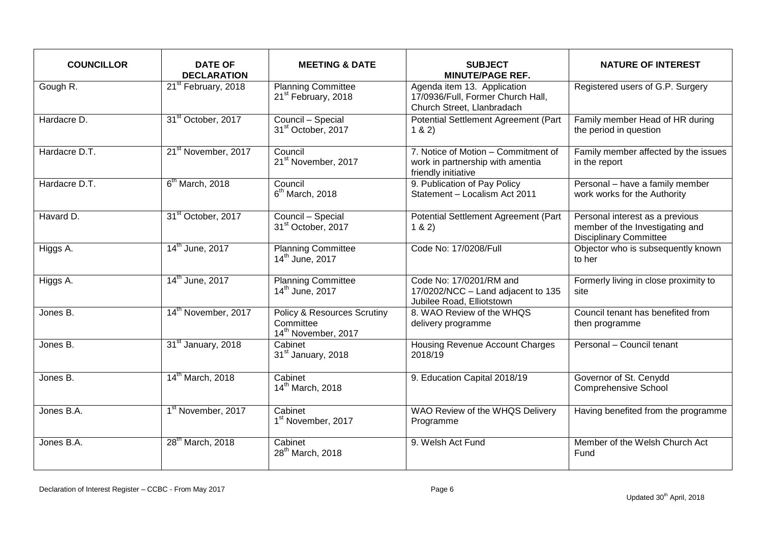| <b>COUNCILLOR</b> | <b>DATE OF</b><br><b>DECLARATION</b> | <b>MEETING &amp; DATE</b>                                                              | <b>SUBJECT</b><br><b>MINUTE/PAGE REF.</b>                                                      | <b>NATURE OF INTEREST</b>                                                                           |
|-------------------|--------------------------------------|----------------------------------------------------------------------------------------|------------------------------------------------------------------------------------------------|-----------------------------------------------------------------------------------------------------|
| Gough R.          | 21 <sup>st</sup> February, 2018      | <b>Planning Committee</b><br>21 <sup>st</sup> February, 2018                           | Agenda item 13. Application<br>17/0936/Full, Former Church Hall,<br>Church Street, Llanbradach | Registered users of G.P. Surgery                                                                    |
| Hardacre D.       | 31 <sup>st</sup> October, 2017       | Council - Special<br>31 <sup>st</sup> October, 2017                                    | Potential Settlement Agreement (Part<br>1 & 2)                                                 | Family member Head of HR during<br>the period in question                                           |
| Hardacre D.T.     | 21 <sup>st</sup> November, 2017      | Council<br>21 <sup>st</sup> November, 2017                                             | 7. Notice of Motion - Commitment of<br>work in partnership with amentia<br>friendly initiative | Family member affected by the issues<br>in the report                                               |
| Hardacre D.T.     | $6th$ March, 2018                    | Council<br>$6th$ March, 2018                                                           | 9. Publication of Pay Policy<br>Statement - Localism Act 2011                                  | Personal - have a family member<br>work works for the Authority                                     |
| Havard D.         | 31 <sup>st</sup> October, 2017       | Council - Special<br>31 <sup>st</sup> October, 2017                                    | Potential Settlement Agreement (Part<br>1 & 2)                                                 | Personal interest as a previous<br>member of the Investigating and<br><b>Disciplinary Committee</b> |
| Higgs A.          | 14 <sup>th</sup> June, 2017          | <b>Planning Committee</b><br>14 <sup>th</sup> June, 2017                               | Code No: 17/0208/Full                                                                          | Objector who is subsequently known<br>to her                                                        |
| Higgs A.          | 14 <sup>th</sup> June, 2017          | <b>Planning Committee</b><br>14 <sup>th</sup> June, 2017                               | Code No: 17/0201/RM and<br>17/0202/NCC - Land adjacent to 135<br>Jubilee Road, Elliotstown     | Formerly living in close proximity to<br>site                                                       |
| Jones B.          | 14 <sup>th</sup> November, 2017      | <b>Policy &amp; Resources Scrutiny</b><br>Committee<br>14 <sup>th</sup> November, 2017 | 8. WAO Review of the WHQS<br>delivery programme                                                | Council tenant has benefited from<br>then programme                                                 |
| Jones B.          | 31 <sup>st</sup> January, 2018       | Cabinet<br>31 <sup>st</sup> January, 2018                                              | <b>Housing Revenue Account Charges</b><br>2018/19                                              | Personal - Council tenant                                                                           |
| Jones B.          | 14 <sup>th</sup> March, 2018         | Cabinet<br>14 <sup>th</sup> March, 2018                                                | 9. Education Capital 2018/19                                                                   | Governor of St. Cenydd<br><b>Comprehensive School</b>                                               |
| Jones B.A.        | 1 <sup>st</sup> November, 2017       | Cabinet<br>1 <sup>st</sup> November, 2017                                              | WAO Review of the WHQS Delivery<br>Programme                                                   | Having benefited from the programme                                                                 |
| Jones B.A.        | 28 <sup>th</sup> March, 2018         | Cabinet<br>28 <sup>th</sup> March, 2018                                                | 9. Welsh Act Fund                                                                              | Member of the Welsh Church Act<br>Fund                                                              |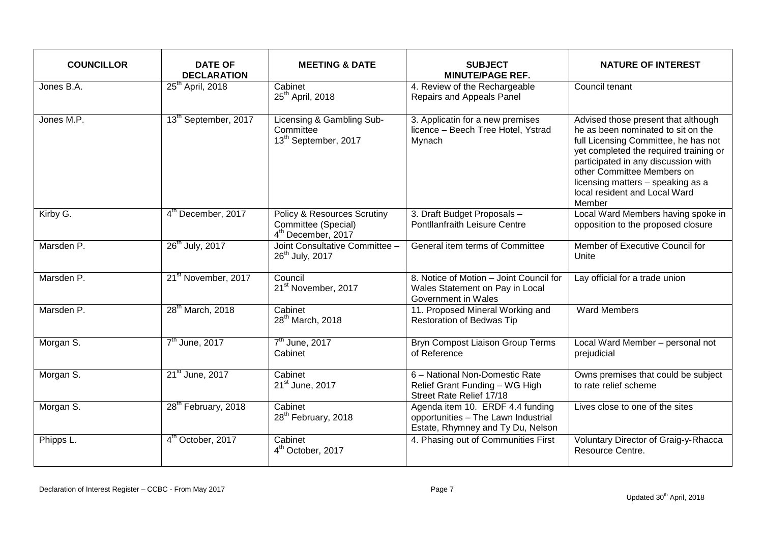| <b>COUNCILLOR</b>     | <b>DATE OF</b><br><b>DECLARATION</b> | <b>MEETING &amp; DATE</b>                                                                       | <b>SUBJECT</b><br><b>MINUTE/PAGE REF.</b>                                                                    | <b>NATURE OF INTEREST</b>                                                                                                                                                                                                                                                                                        |
|-----------------------|--------------------------------------|-------------------------------------------------------------------------------------------------|--------------------------------------------------------------------------------------------------------------|------------------------------------------------------------------------------------------------------------------------------------------------------------------------------------------------------------------------------------------------------------------------------------------------------------------|
| Jones B.A.            | $25th$ April, 2018                   | Cabinet<br>25 <sup>th</sup> April, 2018                                                         | 4. Review of the Rechargeable<br>Repairs and Appeals Panel                                                   | Council tenant                                                                                                                                                                                                                                                                                                   |
| Jones M.P.            | 13 <sup>th</sup> September, 2017     | Licensing & Gambling Sub-<br>Committee<br>13 <sup>th</sup> September, 2017                      | 3. Applicatin for a new premises<br>licence - Beech Tree Hotel, Ystrad<br>Mynach                             | Advised those present that although<br>he as been nominated to sit on the<br>full Licensing Committee, he has not<br>yet completed the required training or<br>participated in any discussion with<br>other Committee Members on<br>licensing matters - speaking as a<br>local resident and Local Ward<br>Member |
| Kirby G.              | 4 <sup>th</sup> December, 2017       | <b>Policy &amp; Resources Scrutiny</b><br>Committee (Special)<br>4 <sup>th</sup> December, 2017 | 3. Draft Budget Proposals -<br>Pontllanfraith Leisure Centre                                                 | Local Ward Members having spoke in<br>opposition to the proposed closure                                                                                                                                                                                                                                         |
| Marsden P.            | 26 <sup>th</sup> July, 2017          | Joint Consultative Committee -<br>26 <sup>th</sup> July, 2017                                   | General item terms of Committee                                                                              | Member of Executive Council for<br>Unite                                                                                                                                                                                                                                                                         |
| Marsden <sub>P.</sub> | 21 <sup>st</sup> November, 2017      | Council<br>21 <sup>st</sup> November, 2017                                                      | 8. Notice of Motion - Joint Council for<br>Wales Statement on Pay in Local<br>Government in Wales            | Lay official for a trade union                                                                                                                                                                                                                                                                                   |
| Marsden P.            | 28 <sup>th</sup> March, 2018         | Cabinet<br>28 <sup>th</sup> March, 2018                                                         | 11. Proposed Mineral Working and<br><b>Restoration of Bedwas Tip</b>                                         | <b>Ward Members</b>                                                                                                                                                                                                                                                                                              |
| Morgan S.             | 7 <sup>th</sup> June, 2017           | 7 <sup>th</sup> June, 2017<br>Cabinet                                                           | <b>Bryn Compost Liaison Group Terms</b><br>of Reference                                                      | Local Ward Member - personal not<br>prejudicial                                                                                                                                                                                                                                                                  |
| Morgan S.             | 21 <sup>st</sup> June, 2017          | Cabinet<br>21 <sup>st</sup> June, 2017                                                          | 6 - National Non-Domestic Rate<br>Relief Grant Funding - WG High<br>Street Rate Relief 17/18                 | Owns premises that could be subject<br>to rate relief scheme                                                                                                                                                                                                                                                     |
| Morgan S.             | 28 <sup>th</sup> February, 2018      | Cabinet<br>28 <sup>th</sup> February, 2018                                                      | Agenda item 10. ERDF 4.4 funding<br>opportunities - The Lawn Industrial<br>Estate, Rhymney and Ty Du, Nelson | Lives close to one of the sites                                                                                                                                                                                                                                                                                  |
| Phipps L.             | 4 <sup>th</sup> October, 2017        | Cabinet<br>4 <sup>th</sup> October, 2017                                                        | 4. Phasing out of Communities First                                                                          | Voluntary Director of Graig-y-Rhacca<br>Resource Centre.                                                                                                                                                                                                                                                         |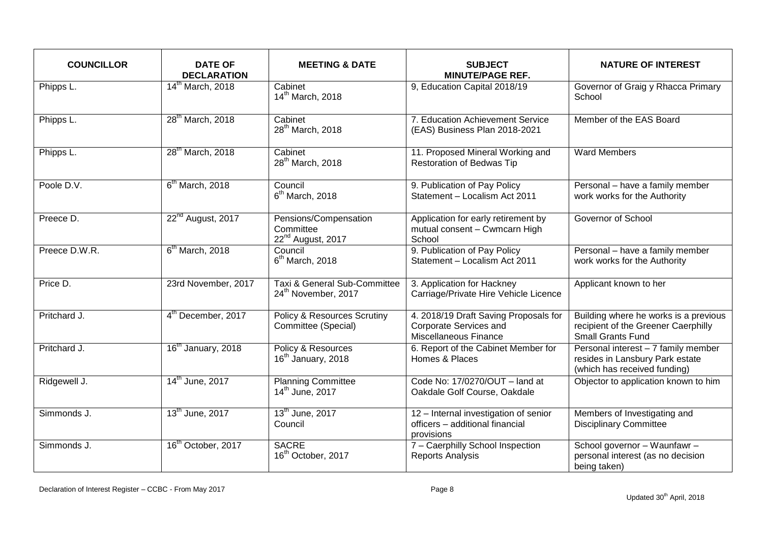| <b>COUNCILLOR</b> | <b>DATE OF</b><br><b>DECLARATION</b> | <b>MEETING &amp; DATE</b>                                           | <b>SUBJECT</b><br><b>MINUTE/PAGE REF.</b>                                                | <b>NATURE OF INTEREST</b>                                                                                |
|-------------------|--------------------------------------|---------------------------------------------------------------------|------------------------------------------------------------------------------------------|----------------------------------------------------------------------------------------------------------|
| Phipps L.         | 14 <sup>th</sup> March, 2018         | Cabinet<br>14 <sup>th</sup> March, 2018                             | 9, Education Capital 2018/19                                                             | Governor of Graig y Rhacca Primary<br>School                                                             |
| Phipps L.         | 28 <sup>th</sup> March, 2018         | Cabinet<br>28 <sup>th</sup> March, 2018                             | 7. Education Achievement Service<br>(EAS) Business Plan 2018-2021                        | Member of the EAS Board                                                                                  |
| Phipps L.         | 28 <sup>th</sup> March, 2018         | Cabinet<br>28 <sup>th</sup> March, 2018                             | 11. Proposed Mineral Working and<br>Restoration of Bedwas Tip                            | <b>Ward Members</b>                                                                                      |
| Poole D.V.        | $6th$ March, 2018                    | Council<br>$6th$ March, 2018                                        | 9. Publication of Pay Policy<br>Statement - Localism Act 2011                            | Personal - have a family member<br>work works for the Authority                                          |
| Preece D.         | 22 <sup>nd</sup> August, 2017        | Pensions/Compensation<br>Committee<br>22 <sup>nd</sup> August, 2017 | Application for early retirement by<br>mutual consent - Cwmcarn High<br>School           | Governor of School                                                                                       |
| Preece D.W.R.     | $6th$ March, 2018                    | Council<br>$6th$ March, 2018                                        | 9. Publication of Pay Policy<br>Statement - Localism Act 2011                            | Personal - have a family member<br>work works for the Authority                                          |
| Price D.          | 23rd November, 2017                  | Taxi & General Sub-Committee<br>24 <sup>th</sup> November, 2017     | 3. Application for Hackney<br>Carriage/Private Hire Vehicle Licence                      | Applicant known to her                                                                                   |
| Pritchard J.      | 4 <sup>th</sup> December, 2017       | <b>Policy &amp; Resources Scrutiny</b><br>Committee (Special)       | 4. 2018/19 Draft Saving Proposals for<br>Corporate Services and<br>Miscellaneous Finance | Building where he works is a previous<br>recipient of the Greener Caerphilly<br><b>Small Grants Fund</b> |
| Pritchard J.      | 16 <sup>th</sup> January, 2018       | Policy & Resources<br>16 <sup>th</sup> January, 2018                | 6. Report of the Cabinet Member for<br>Homes & Places                                    | Personal interest - 7 family member<br>resides in Lansbury Park estate<br>(which has received funding)   |
| Ridgewell J.      | 14 <sup>th</sup> June, 2017          | <b>Planning Committee</b><br>14 <sup>th</sup> June, 2017            | Code No: 17/0270/OUT - land at<br>Oakdale Golf Course, Oakdale                           | Objector to application known to him                                                                     |
| Simmonds J.       | 13 <sup>th</sup> June, 2017          | 13 <sup>th</sup> June, 2017<br>Council                              | 12 - Internal investigation of senior<br>officers - additional financial<br>provisions   | Members of Investigating and<br><b>Disciplinary Committee</b>                                            |
| Simmonds J.       | 16 <sup>th</sup> October, 2017       | <b>SACRE</b><br>16 <sup>th</sup> October, 2017                      | 7 - Caerphilly School Inspection<br><b>Reports Analysis</b>                              | School governor - Waunfawr -<br>personal interest (as no decision<br>being taken)                        |